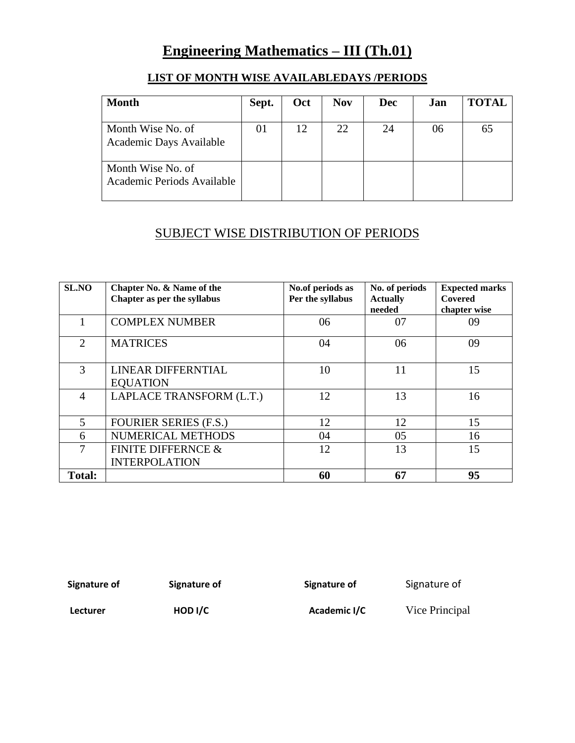# **Engineering Mathematics – III (Th.01)**

| <b>Month</b>                                    | Sept. | Oct | <b>Nov</b> | <b>Dec</b> | Jan | <b>TOTAL</b> |
|-------------------------------------------------|-------|-----|------------|------------|-----|--------------|
| Month Wise No. of<br>Academic Days Available    | 01    | 12  | 22         | 24         | 06  | 65           |
| Month Wise No. of<br>Academic Periods Available |       |     |            |            |     |              |

## **LIST OF MONTH WISE AVAILABLEDAYS /PERIODS**

## SUBJECT WISE DISTRIBUTION OF PERIODS

| <b>SL.NO</b>                | Chapter No. & Name of the<br>Chapter as per the syllabus | No.of periods as<br>Per the syllabus | No. of periods<br><b>Actually</b><br>needed | <b>Expected marks</b><br>Covered<br>chapter wise |
|-----------------------------|----------------------------------------------------------|--------------------------------------|---------------------------------------------|--------------------------------------------------|
|                             | <b>COMPLEX NUMBER</b>                                    | 06                                   | 07                                          | 09                                               |
| $\mathcal{D}_{\mathcal{L}}$ | <b>MATRICES</b>                                          | 04                                   | 06                                          | 09                                               |
| 3                           | LINEAR DIFFERNTIAL<br><b>EQUATION</b>                    | 10                                   | 11                                          | 15                                               |
| $\overline{4}$              | LAPLACE TRANSFORM (L.T.)                                 | 12                                   | 13                                          | 16                                               |
| 5                           | <b>FOURIER SERIES (F.S.)</b>                             | 12                                   | 12                                          | 15                                               |
| 6                           | NUMERICAL METHODS                                        | 04                                   | 05                                          | 16                                               |
| 7                           | <b>FINITE DIFFERNCE &amp;</b><br><b>INTERPOLATION</b>    | 12                                   | 13                                          | 15                                               |
| <b>Total:</b>               |                                                          | 60                                   | 67                                          | 95                                               |

**Signature of Signature of Signature of** Signature of

Lecturer **HOD I/C** Academic I/C Vice Principal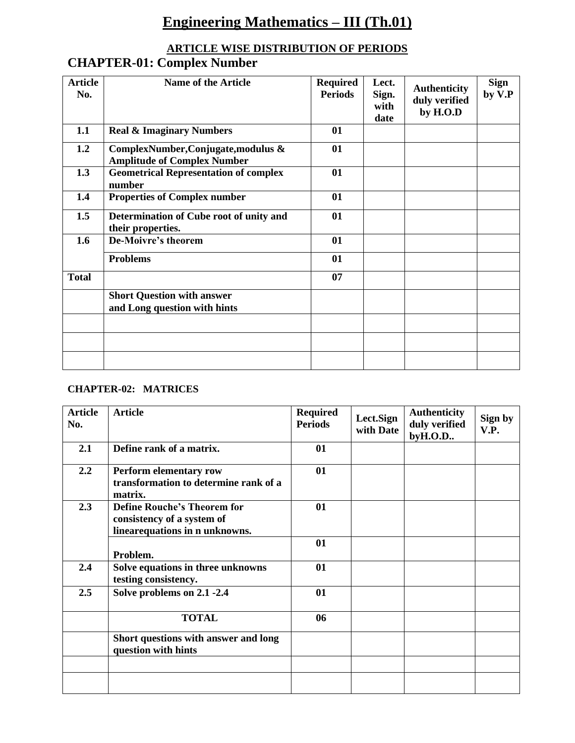# **Engineering Mathematics – III (Th.01)**

## **ARTICLE WISE DISTRIBUTION OF PERIODS CHAPTER-01: Complex Number**

| <b>Article</b><br>No. | <b>Name of the Article</b>                                                | <b>Required</b><br><b>Periods</b> | Lect.<br>Sign.<br>with<br>date | <b>Authenticity</b><br>duly verified<br>by H.O.D | <b>Sign</b><br>by V.P |
|-----------------------|---------------------------------------------------------------------------|-----------------------------------|--------------------------------|--------------------------------------------------|-----------------------|
| 1.1                   | <b>Real &amp; Imaginary Numbers</b>                                       | 01                                |                                |                                                  |                       |
| 1.2                   | ComplexNumber, Conjugate, modulus &<br><b>Amplitude of Complex Number</b> | 01                                |                                |                                                  |                       |
| 1.3                   | <b>Geometrical Representation of complex</b><br>number                    | 01                                |                                |                                                  |                       |
| 1.4                   | <b>Properties of Complex number</b>                                       | 01                                |                                |                                                  |                       |
| 1.5                   | Determination of Cube root of unity and<br>their properties.              | 01                                |                                |                                                  |                       |
| 1.6                   | De-Moivre's theorem                                                       | 01                                |                                |                                                  |                       |
|                       | <b>Problems</b>                                                           | 01                                |                                |                                                  |                       |
| <b>Total</b>          |                                                                           | 07                                |                                |                                                  |                       |
|                       | <b>Short Question with answer</b><br>and Long question with hints         |                                   |                                |                                                  |                       |
|                       |                                                                           |                                   |                                |                                                  |                       |
|                       |                                                                           |                                   |                                |                                                  |                       |
|                       |                                                                           |                                   |                                |                                                  |                       |

## **CHAPTER-02: MATRICES**

| <b>Article</b><br>No. | <b>Article</b>                                                                                      | <b>Required</b><br><b>Periods</b> | Lect.Sign<br>with Date | <b>Authenticity</b><br>duly verified<br>byH.O.D | Sign by<br>V.P. |
|-----------------------|-----------------------------------------------------------------------------------------------------|-----------------------------------|------------------------|-------------------------------------------------|-----------------|
| 2.1                   | Define rank of a matrix.                                                                            | 01                                |                        |                                                 |                 |
| 2.2                   | Perform elementary row<br>transformation to determine rank of a<br>matrix.                          | 01                                |                        |                                                 |                 |
| 2.3                   | <b>Define Rouche's Theorem for</b><br>consistency of a system of<br>linear equations in n unknowns. | 01                                |                        |                                                 |                 |
|                       | Problem.                                                                                            | 01                                |                        |                                                 |                 |
| 2.4                   | Solve equations in three unknowns<br>testing consistency.                                           | 01                                |                        |                                                 |                 |
| 2.5                   | Solve problems on 2.1 -2.4                                                                          | 01                                |                        |                                                 |                 |
|                       | <b>TOTAL</b>                                                                                        | 06                                |                        |                                                 |                 |
|                       | Short questions with answer and long<br>question with hints                                         |                                   |                        |                                                 |                 |
|                       |                                                                                                     |                                   |                        |                                                 |                 |
|                       |                                                                                                     |                                   |                        |                                                 |                 |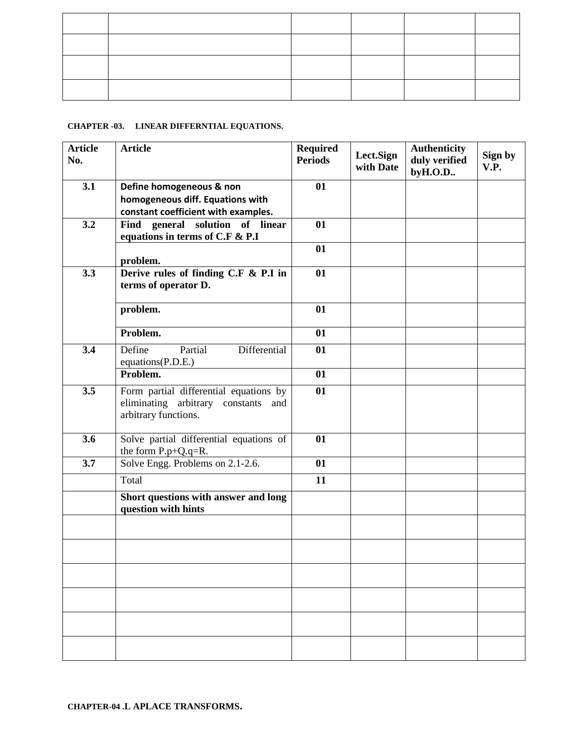#### **CHAPTER -03. LINEAR DIFFERNTIAL EQUATIONS.**

| <b>Article</b><br>No. | <b>Article</b>                                                                                           | <b>Required</b><br><b>Periods</b> | Lect.Sign<br>with Date | <b>Authenticity</b><br>duly verified<br>byH.O.D | Sign by<br>V.P. |
|-----------------------|----------------------------------------------------------------------------------------------------------|-----------------------------------|------------------------|-------------------------------------------------|-----------------|
| 3.1                   | Define homogeneous & non<br>homogeneous diff. Equations with<br>constant coefficient with examples.      | 01                                |                        |                                                 |                 |
| 3.2                   | Find general solution of linear<br>equations in terms of C.F & P.I                                       | 01                                |                        |                                                 |                 |
|                       | problem.                                                                                                 | 01                                |                        |                                                 |                 |
| 3.3                   | Derive rules of finding C.F & P.I in<br>terms of operator D.                                             | 01                                |                        |                                                 |                 |
|                       | problem.                                                                                                 | 01                                |                        |                                                 |                 |
|                       | Problem.                                                                                                 | 01                                |                        |                                                 |                 |
| 3.4                   | Differential<br>Partial<br>Define<br>equations(P.D.E.)                                                   | 01                                |                        |                                                 |                 |
|                       | Problem.                                                                                                 | 01                                |                        |                                                 |                 |
| 3.5                   | Form partial differential equations by<br>eliminating arbitrary constants<br>and<br>arbitrary functions. | 01                                |                        |                                                 |                 |
| 3.6                   | Solve partial differential equations of<br>the form $P.p+Q.q=R$ .                                        | 01                                |                        |                                                 |                 |
| 3.7                   | Solve Engg. Problems on 2.1-2.6.                                                                         | 01                                |                        |                                                 |                 |
|                       | Total                                                                                                    | 11                                |                        |                                                 |                 |
|                       | Short questions with answer and long<br>question with hints                                              |                                   |                        |                                                 |                 |
|                       |                                                                                                          |                                   |                        |                                                 |                 |
|                       |                                                                                                          |                                   |                        |                                                 |                 |
|                       |                                                                                                          |                                   |                        |                                                 |                 |
|                       |                                                                                                          |                                   |                        |                                                 |                 |
|                       |                                                                                                          |                                   |                        |                                                 |                 |
|                       |                                                                                                          |                                   |                        |                                                 |                 |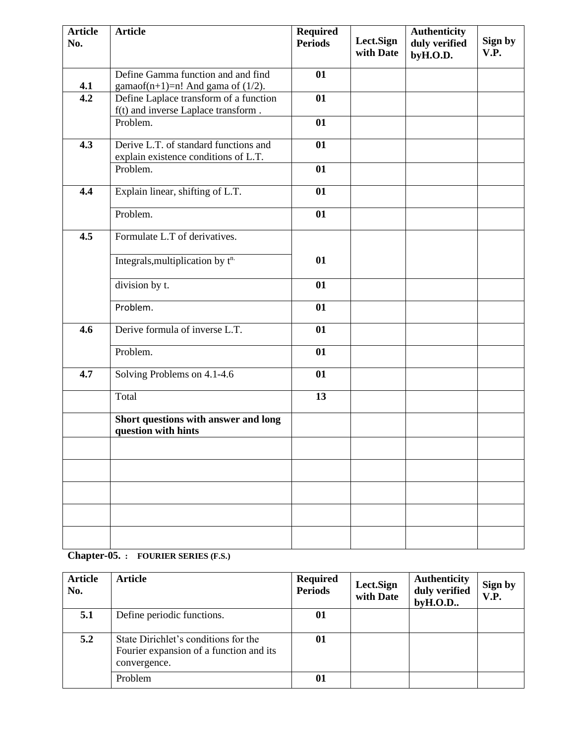| <b>Article</b><br>No. | <b>Article</b>                                                                | <b>Required</b><br><b>Periods</b> | Lect.Sign<br>with Date | <b>Authenticity</b><br>duly verified<br>byH.O.D. | Sign by<br>V.P. |
|-----------------------|-------------------------------------------------------------------------------|-----------------------------------|------------------------|--------------------------------------------------|-----------------|
| 4.1                   | Define Gamma function and and find<br>gamaof(n+1)=n! And gama of $(1/2)$ .    | 01                                |                        |                                                  |                 |
| 4.2                   | Define Laplace transform of a function<br>f(t) and inverse Laplace transform. | 01                                |                        |                                                  |                 |
|                       | Problem.                                                                      | 01                                |                        |                                                  |                 |
| 4.3                   | Derive L.T. of standard functions and<br>explain existence conditions of L.T. | 01                                |                        |                                                  |                 |
|                       | Problem.                                                                      | 01                                |                        |                                                  |                 |
| 4.4                   | Explain linear, shifting of L.T.                                              | 01                                |                        |                                                  |                 |
|                       | Problem.                                                                      | 01                                |                        |                                                  |                 |
| 4.5                   | Formulate L.T of derivatives.                                                 |                                   |                        |                                                  |                 |
|                       | Integrals, multiplication by t <sup>n.</sup>                                  | 01                                |                        |                                                  |                 |
|                       | division by t.                                                                | 01                                |                        |                                                  |                 |
|                       | Problem.                                                                      | 01                                |                        |                                                  |                 |
| 4.6                   | Derive formula of inverse L.T.                                                | 01                                |                        |                                                  |                 |
|                       | Problem.                                                                      | 01                                |                        |                                                  |                 |
| 4.7                   | Solving Problems on 4.1-4.6                                                   | 01                                |                        |                                                  |                 |
|                       | Total                                                                         | 13                                |                        |                                                  |                 |
|                       | Short questions with answer and long<br>question with hints                   |                                   |                        |                                                  |                 |
|                       |                                                                               |                                   |                        |                                                  |                 |
|                       |                                                                               |                                   |                        |                                                  |                 |
|                       |                                                                               |                                   |                        |                                                  |                 |
|                       |                                                                               |                                   |                        |                                                  |                 |
|                       |                                                                               |                                   |                        |                                                  |                 |

## **Chapter-05. : FOURIER SERIES (F.S.)**

| Article<br>No. | <b>Article</b>                                                                                  | <b>Required</b><br><b>Periods</b> | Lect.Sign<br>with Date | <b>Authenticity</b><br>duly verified<br>by H.O.D. | Sign by<br>V.P. |
|----------------|-------------------------------------------------------------------------------------------------|-----------------------------------|------------------------|---------------------------------------------------|-----------------|
| 5.1            | Define periodic functions.                                                                      | 01                                |                        |                                                   |                 |
| 5.2            | State Dirichlet's conditions for the<br>Fourier expansion of a function and its<br>convergence. | 01                                |                        |                                                   |                 |
|                | Problem                                                                                         | 01                                |                        |                                                   |                 |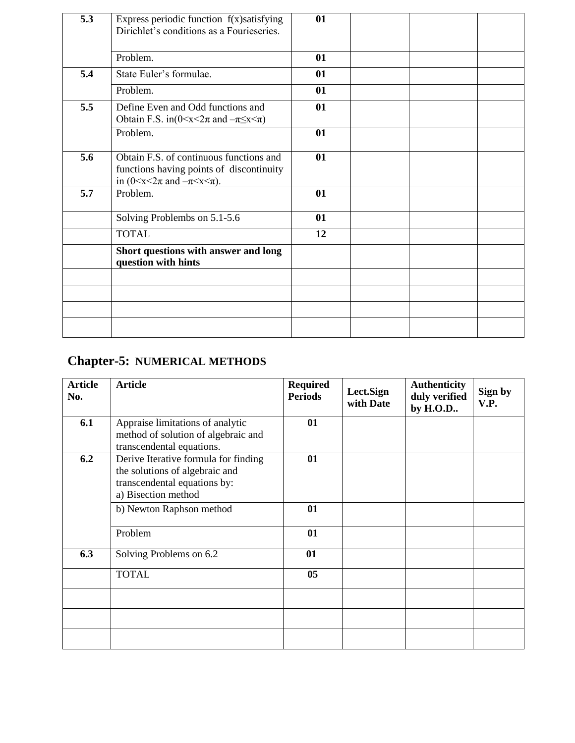| 5.3 | Express periodic function $f(x)$ satisfying<br>Dirichlet's conditions as a Fourieseries.                                          | 01 |  |  |
|-----|-----------------------------------------------------------------------------------------------------------------------------------|----|--|--|
|     | Problem.                                                                                                                          | 01 |  |  |
| 5.4 | State Euler's formulae.                                                                                                           | 01 |  |  |
|     | Problem.                                                                                                                          | 01 |  |  |
| 5.5 | Define Even and Odd functions and<br>Obtain F.S. in( $0 \le x \le 2\pi$ and $-\pi \le x \le \pi$ )                                | 01 |  |  |
|     | Problem.                                                                                                                          | 01 |  |  |
| 5.6 | Obtain F.S. of continuous functions and<br>functions having points of discontinuity<br>in $(0 < x < 2\pi$ and $-\pi < x < \pi$ ). | 01 |  |  |
| 5.7 | Problem.                                                                                                                          | 01 |  |  |
|     | Solving Problembs on 5.1-5.6                                                                                                      | 01 |  |  |
|     | <b>TOTAL</b>                                                                                                                      | 12 |  |  |
|     | Short questions with answer and long<br>question with hints                                                                       |    |  |  |
|     |                                                                                                                                   |    |  |  |
|     |                                                                                                                                   |    |  |  |
|     |                                                                                                                                   |    |  |  |
|     |                                                                                                                                   |    |  |  |

# **Chapter-5: NUMERICAL METHODS**

| <b>Article</b><br>No. | <b>Article</b>                                                                                                                | <b>Required</b><br><b>Periods</b> | Lect.Sign<br>with Date | <b>Authenticity</b><br>duly verified<br>by H.O.D | Sign by<br>V.P. |
|-----------------------|-------------------------------------------------------------------------------------------------------------------------------|-----------------------------------|------------------------|--------------------------------------------------|-----------------|
| 6.1                   | Appraise limitations of analytic<br>method of solution of algebraic and<br>transcendental equations.                          | 01                                |                        |                                                  |                 |
| 6.2                   | Derive Iterative formula for finding<br>the solutions of algebraic and<br>transcendental equations by:<br>a) Bisection method | 01                                |                        |                                                  |                 |
|                       | b) Newton Raphson method                                                                                                      | 01                                |                        |                                                  |                 |
|                       | Problem                                                                                                                       | 01                                |                        |                                                  |                 |
| 6.3                   | Solving Problems on 6.2                                                                                                       | 01                                |                        |                                                  |                 |
|                       | <b>TOTAL</b>                                                                                                                  | 05                                |                        |                                                  |                 |
|                       |                                                                                                                               |                                   |                        |                                                  |                 |
|                       |                                                                                                                               |                                   |                        |                                                  |                 |
|                       |                                                                                                                               |                                   |                        |                                                  |                 |